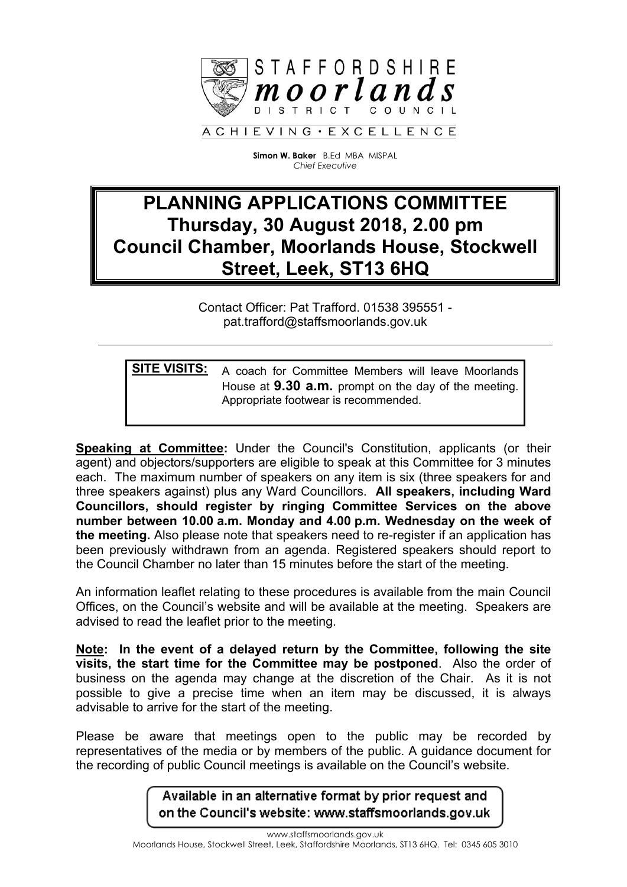

**Simon W. Baker** B.Ed MBA MISPAL *Chief Executive*

# **PLANNING APPLICATIONS COMMITTEE Thursday, 30 August 2018, 2.00 pm Council Chamber, Moorlands House, Stockwell Street, Leek, ST13 6HQ**

Contact Officer: Pat Trafford. 01538 395551 pat.trafford@staffsmoorlands.gov.uk

**SITE VISITS:** A coach for Committee Members will leave Moorlands House at **9.30 a.m.** prompt on the day of the meeting. Appropriate footwear is recommended.

**Speaking at Committee:** Under the Council's Constitution, applicants (or their agent) and objectors/supporters are eligible to speak at this Committee for 3 minutes each. The maximum number of speakers on any item is six (three speakers for and three speakers against) plus any Ward Councillors. **All speakers, including Ward Councillors, should register by ringing Committee Services on the above number between 10.00 a.m. Monday and 4.00 p.m. Wednesday on the week of the meeting.** Also please note that speakers need to re-register if an application has been previously withdrawn from an agenda. Registered speakers should report to the Council Chamber no later than 15 minutes before the start of the meeting.

An information leaflet relating to these procedures is available from the main Council Offices, on the Council's website and will be available at the meeting. Speakers are advised to read the leaflet prior to the meeting.

**Note: In the event of a delayed return by the Committee, following the site visits, the start time for the Committee may be postponed**. Also the order of business on the agenda may change at the discretion of the Chair. As it is not possible to give a precise time when an item may be discussed, it is always advisable to arrive for the start of the meeting.

Please be aware that meetings open to the public may be recorded by representatives of the media or by members of the public. A guidance document for the recording of public Council meetings is available on the Council's website.

> Available in an alternative format by prior request and on the Council's website: www.staffsmoorlands.gov.uk

www.staffsmoorlands.gov.uk Moorlands House, Stockwell Street, Leek, Staffordshire Moorlands, ST13 6HQ. Tel: 0345 605 3010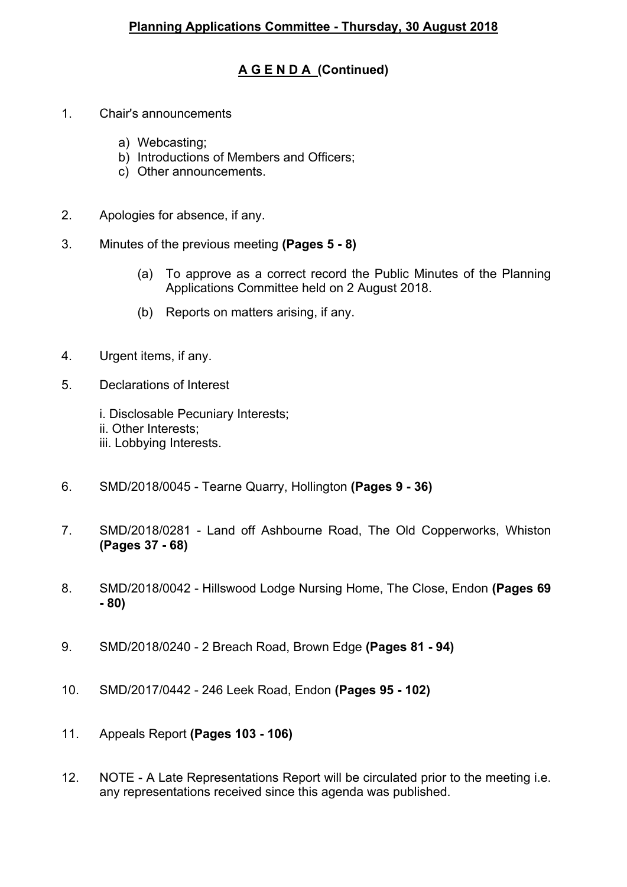# **A G E N D A (Continued)**

- 1. Chair's announcements
	- a) Webcasting;
	- b) Introductions of Members and Officers;
	- c) Other announcements.
- 2. Apologies for absence, if any.
- 3. Minutes of the previous meeting **(Pages 5 - 8)**
	- (a) To approve as a correct record the Public Minutes of the Planning Applications Committee held on 2 August 2018.
	- (b) Reports on matters arising, if any.
- 4. Urgent items, if any.
- 5. Declarations of Interest
	- i. Disclosable Pecuniary Interests;
	- ii. Other Interests;
	- iii. Lobbying Interests.
- 6. SMD/2018/0045 Tearne Quarry, Hollington **(Pages 9 - 36)**
- 7. SMD/2018/0281 Land off Ashbourne Road, The Old Copperworks, Whiston **(Pages 37 - 68)**
- 8. SMD/2018/0042 Hillswood Lodge Nursing Home, The Close, Endon **(Pages 69 - 80)**
- 9. SMD/2018/0240 2 Breach Road, Brown Edge **(Pages 81 - 94)**
- 10. SMD/2017/0442 246 Leek Road, Endon **(Pages 95 - 102)**
- 11. Appeals Report **(Pages 103 - 106)**
- 12. NOTE A Late Representations Report will be circulated prior to the meeting i.e. any representations received since this agenda was published.